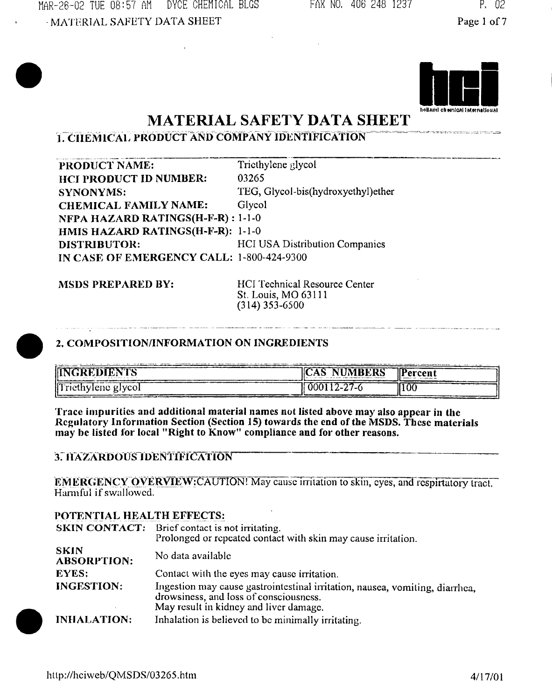3-26-02 TUE 08:57 AM DYCE CHEMICAL BLGS MATERIAL SAFETY DATA SHEET

FAX NO, 406 248 1237 P. 02

Page 1 of 7



# **MATERIAL SAFETY DATA SHEET**

# **1. CHEMICAL PRODUCT AND COMPANY IDENTIFICATION**

PRODUCT NAME: **HCI PRODUCT ID NUMBER:** SYNONYMS: **CHEMICAL FAMILY NAME:** Triethylene glycol 03265 TEG, Glycol-bis(hydroxyethyl)ether Glycol **NFPA HAZARD RATINGS(H-F-R) : 1-1 -0 HMIS HAZARD RATINGS(H-F-R): 1-1-0** DISTRIBUTOR: HCI USA Distribution Companies IN CASE OF EMERGENCY CALL: 1-800-424-9300

**MSDS PREPARED BY:** HCI Technical Resource Center St. Louis, MO 63111 (314)353-6500

### **2, COMPOSITION/INFORMATION ON INGREDIENTS**

| <b>INGREDIENTS</b><br>apply to the contract and a series of the contract | <b>NUMBERS</b><br><b>IICAS</b>    | Percent |
|--------------------------------------------------------------------------|-----------------------------------|---------|
| Triethylene glycol                                                       | <b>0001</b><br>$1 - 1$<br>- - - - | ∥<br>w  |

**Trace impurities and additional material names not listed above may also appear in the Regulatory Information Section (Section 15) towards the end of the MSDS. These materials may be listed for local "Right to Know" compliance and for other reasons.**

### **3: HAZARDOUS IDENTIFICATION**

**EMERGENCY OVERVIEW: CAUTION!** May cause irritation to skin, eyes, and respirtatory tract. Harmful if swallowed.

### **POTENTIAL HEALTH EFFECTS:**

|                                   | <b>SKIN CONTACT:</b> Brief contact is not irritating.<br>Prolonged or repeated contact with skin may cause irritation.                                           |
|-----------------------------------|------------------------------------------------------------------------------------------------------------------------------------------------------------------|
| <b>SKIN</b><br><b>ABSORPTION:</b> | No data available                                                                                                                                                |
| <b>EYES:</b>                      | Contact with the eyes may cause irritation.                                                                                                                      |
| <b>INGESTION:</b>                 | Ingestion may cause gastrointestinal irritation, nausea, vomiting, diarrhea,<br>drowsiness, and loss of consciousness.<br>May result in kidney and liver damage. |
| <b>INHALATION:</b>                | Inhalation is believed to be minimally irritating.                                                                                                               |

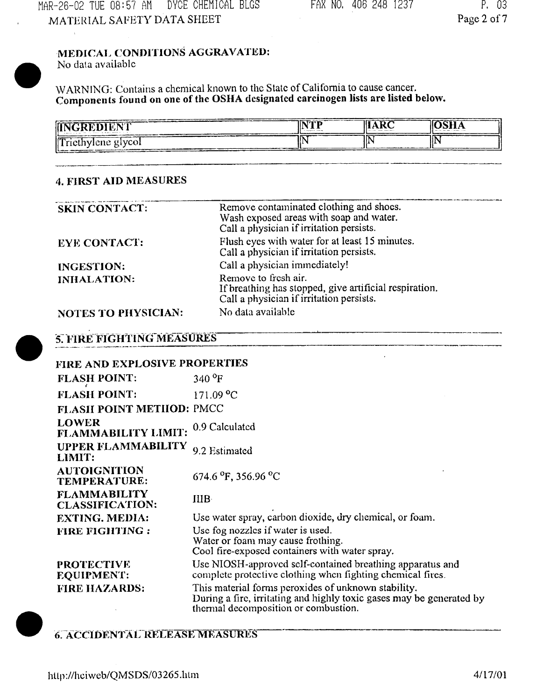# **MEDICAL CONDITIONS AGGRAVATED:**

No data available

WARNING: Contains a chemical known to the State of California to cause cancer. **Components found on one of the OSHA designated carcinogen lists are listed below.**

| <b>INTERNATIONAL</b><br>₩<br>  IN<br>DIENT<br>-212 H<br><b>CALIFORNIA COMPANY</b><br>contract and the first states<br>the company's property service in the first |  |
|-------------------------------------------------------------------------------------------------------------------------------------------------------------------|--|
|                                                                                                                                                                   |  |
| $\int$ Triethylene glycol<br>.,                                                                                                                                   |  |

### **4. FIRST AID MEASURES**

| <b>SKIN CONTACT:</b>       | Remove contaminated clothing and shocs.<br>Wash exposed areas with soap and water.<br>Call a physician if irritation persists. |
|----------------------------|--------------------------------------------------------------------------------------------------------------------------------|
| <b>EYE CONTACT:</b>        | Flush eyes with water for at least 15 minutes.<br>Call a physician if irritation persists.                                     |
| <b>INGESTION:</b>          | Call a physician immediately!                                                                                                  |
| <b>INHALATION:</b>         | Remove to fresh air.<br>If breathing has stopped, give artificial respiration.<br>Call a physician if irritation persists.     |
| <b>NOTES TO PHYSICIAN:</b> | No data available                                                                                                              |

# **5. FIRE FIGHTING MEASURES**

| FIRE AND EXPLOSIVE PROPERTIES                 |                                                                                                                                                                     |
|-----------------------------------------------|---------------------------------------------------------------------------------------------------------------------------------------------------------------------|
| <b>FLASH POINT:</b>                           | $340 \text{°F}$                                                                                                                                                     |
| <b>FLASH POINT:</b>                           | 171.09 °C                                                                                                                                                           |
| FLASH POINT METHOD: PMCC                      |                                                                                                                                                                     |
| <b>LOWER</b><br>FLAMMABILITY LIMIT:           | 0.9 Calculated                                                                                                                                                      |
| <b>UPPER FLAMMABILITY</b><br>LIMIT:           | 9.2 Estimated                                                                                                                                                       |
| <b>AUTOIGNITION</b><br><b>TEMPERATURE:</b>    | 674.6 $^{\circ}$ F, 356.96 $^{\circ}$ C                                                                                                                             |
| <b>FLAMMABILITY</b><br><b>CLASSIFICATION:</b> | IIIB.                                                                                                                                                               |
| <b>EXTING. MEDIA:</b>                         | Use water spray, carbon dioxide, dry chemical, or foam.                                                                                                             |
| <b>FIRE FIGHTING:</b>                         | Use fog nozzles if water is used.<br>Water or foam may cause frothing.<br>Cool fire-exposed containers with water spray.                                            |
| <b>PROTECTIVE</b><br><b>EQUIPMENT:</b>        | Use NIOSH-approved self-contained breathing apparatus and<br>complete protective clothing when fighting chemical fires.                                             |
| <b>FIRE HAZARDS:</b>                          | This material forms peroxides of unknown stability.<br>During a fire, irritating and highly toxic gases may be generated by<br>thermal decomposition or combustion. |

# **6." ACCIDENTAL RELEASE MEASURES**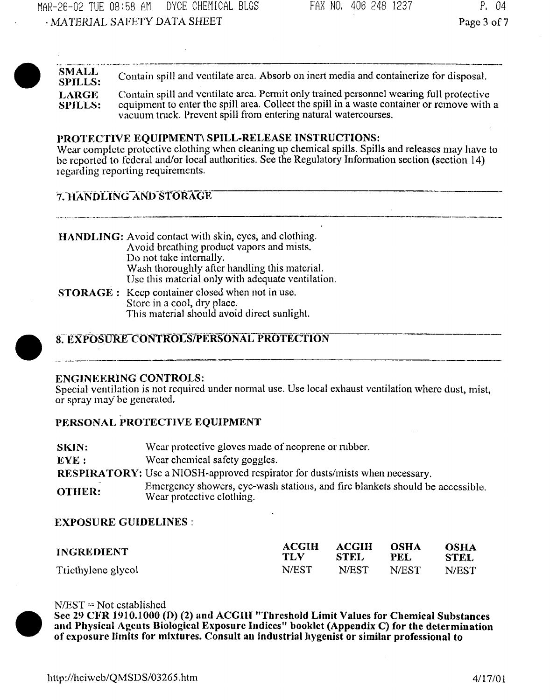**SMALL** Contain spill and ventilate area. Absorb on inert media and containerize for disposal. LARGE Contain spill and ventilate area. Permit only trained personnel wearing full protective **SPILLS:** equipment to enter the spill area. Collect the spill in a waste container or remove with a vacuum tnick. Prevent spill from entering natural watercourses.

#### PROTECTIVE EQUIPMENT\ SPILL-RELEASE INSTRUCTIONS:

Wear complete protective clothing when cleaning up chemical spills. Spills and releases may have to be reported to federal and/or local authorities. See the Regulatory Information section (section 14) regarding reporting requirements.

### **7. HANDLING AND STORAGE**

**HANDLING:** Avoid contact with skin, eyes, and clothing. Avoid breathing product vapors and mists. Do not take internally. Wash thoroughly afler handling this material. Use this material only with adequate ventilation.

**STORAGE** : Keep container closed when not in use. Store in a cool, dry place. This material should avoid direct sunlight.

### **87 EXPOSURE CONTROLS/PERSONAL PROTECTION**

#### **ENGINEERING CONTROLS:**

Special ventilation is not required under normal use. Use local exhaust ventilation where dust, mist, or spray may be generated.

### **PERSONAL PROTECTIVE EQUIPMENT**

| SKIN:         | Wear protective gloves made of neoprene or rubber.                                                         |
|---------------|------------------------------------------------------------------------------------------------------------|
| EYE :         | Wear chemical safety goggles.                                                                              |
|               | <b>RESPIRATORY:</b> Use a NIOSH-approved respirator for dusts/mists when necessary.                        |
| <b>OTHER:</b> | Emergency showers, eye-wash stations, and fire blankets should be accessible.<br>Wear protective clothing. |

#### **EXPOSURE GUIDELINES :**

| <b>INGREDIENT</b>  | <b>ACGIH</b> | ACGIH    | <b>OSHA</b> | <b>OSHA</b> |
|--------------------|--------------|----------|-------------|-------------|
|                    | TLV          | - STEL - | PEL.        | <b>STEL</b> |
| Triethylene glycol | N/EST -      | N/EST    | N/EST       | N/EST       |



N/EST *=* Not established

**See 29 CFR 1910.1000 (D) (2) and ACGIH "Threshold Limit Values for Chemical Substances and Physical Ageuts Biological Exposure Indices" booklet (Appendix C) for the determination of exposure limits for mixtures. Consult an industrial hygenist or similar professional to**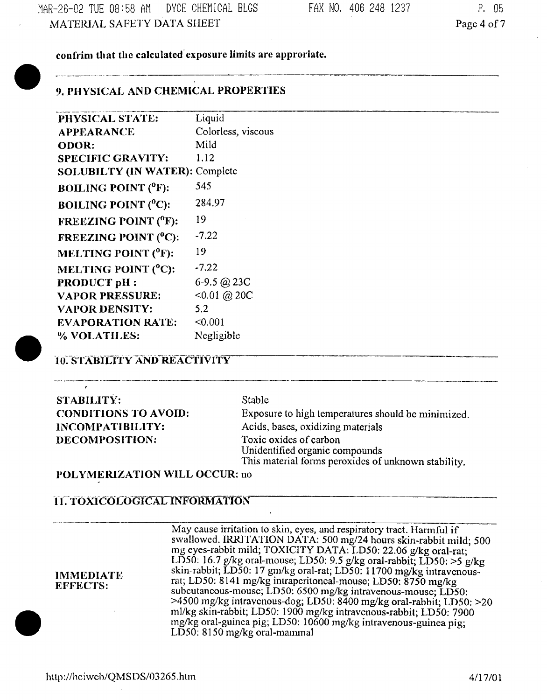.<br>In a musician designed states managements et approximation de la company de la company de la company de la com

**conirim that the calculated exposure limits are approriate.**

# **9. PHYSICAL AND CHEMICAL PROPERTIES**

| PHYSICAL STATE:                  | Liquid             |
|----------------------------------|--------------------|
| <b>APPEARANCE</b>                | Colorless, viscous |
| ODOR:                            | Mild               |
| <b>SPECIFIC GRAVITY:</b>         | 1.12               |
| <b>SOLUBILTY (IN WATER):</b>     | Complete           |
| <b>BOILING POINT (°F):</b>       | 545                |
| <b>BOILING POINT (°C):</b>       | 284.97             |
| <b>FREEZING POINT (°F):</b>      | 19                 |
| <b>FREEZING POINT (°C):</b>      | $-7.22$            |
| MELTING POINT ( <sup>O</sup> F): | 19                 |
| MELTING POINT (°C):              | -7.22              |
| <b>PRODUCT pH:</b>               | 6-9.5 @ 23C        |
| <b>VAPOR PRESSURE:</b>           | $<0.01$ (a) 20C    |
| <b>VAPOR DENSITY:</b>            | 5.2                |
| <b>EVAPORATION RATE:</b>         | < 0.001            |
| % VOLATILES:                     | Negligible         |

# **: STABILITY AND'REACTIVITY**

| <b>STABILITY:</b>           |
|-----------------------------|
| <b>CONDITIONS TO AVOID:</b> |
| INCOMPATIBILITY:            |
| DECOMPOSITION:              |

#### **Stable**

Exposure to high temperatures should be minimized. Acids, bases, oxidizing materials Toxic oxides of carbon Unidentified organic compounds This material forms peroxides of unknown stability.

### **POLYMERIZATION WILL OCCUR:** no

### **11. TOXICOLOGICAL INFORMATION**

May cause irritation to skin, eyes, and respiratory tract. Harmful if swallowed. IRRITATION DATA; 500 mg/24 hours skin-rabbit mild; 500 mg eyes-rabbit mild; TOXICITY DATA: LD50: 22.06 g/kg oral-rat; LD50: 16.7 g/kg oral-mouse; LD50: 9.5 g/kg oral-rabbit; LD50: >5 g/kg **IMMEDIATE** skin-rabbit; LD50: 17 gm/kg oral-rat; LD50: 11700 mg/kg intravenous-**EFFFCTS-** rat; LD50: 8141 *m&k&* inlrapcriloncal-mouse; LD50: 8750 mg/kg  $J_{\text{L}}$  is: subcutaneous-mouse; LD50: 6500 mg/kg intravenous-mouse; LD50: >4500 mg/kg intravenous-dog; LD50: 8400 mg/kg oral-rabbil; LD50: >20 ml/kg skin-rabbit; LD50: 1900 mg/kg intravenous-rabbit; LD50: 7900 mg/kg oral-guinea pig; LD50: 10600 mg/kg intravenous-guinea pig; LD50: 8150 mg/kg oral-mammal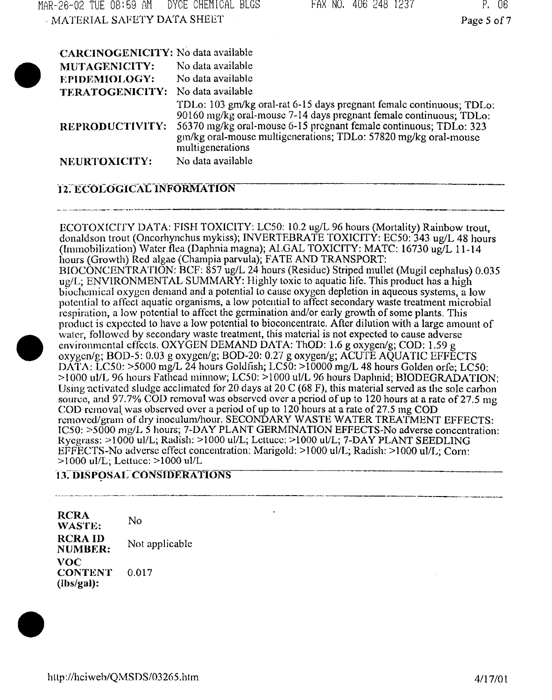| MATERIAL SAFETY DATA SHEET         |                                                                                                                                                                                                                                                                                                        | Page 5 of 7 |
|------------------------------------|--------------------------------------------------------------------------------------------------------------------------------------------------------------------------------------------------------------------------------------------------------------------------------------------------------|-------------|
| CARCINOGENICITY: No data available |                                                                                                                                                                                                                                                                                                        |             |
| MUTAGENICITY:                      | No data available                                                                                                                                                                                                                                                                                      |             |
| <b>EPIDEMIOLOGY:</b>               | No data available                                                                                                                                                                                                                                                                                      |             |
| TERATOGENICITY:                    | No data available                                                                                                                                                                                                                                                                                      |             |
| <b>REPRODUCTIVITY:</b>             | TDLo: 103 gm/kg oral-rat 6-15 days pregnant female continuous; TDLo:<br>90160 mg/kg oral-mouse 7-14 days pregnant female continuous; TDLo:<br>56370 mg/kg oral-mouse 6-15 pregnant female continuous; TDLo: 323<br>gm/kg oral-mouse multigenerations; TDLo: 57820 mg/kg oral-mouse<br>multigenerations |             |
| <b>NEURTOXICITY:</b>               | No data available                                                                                                                                                                                                                                                                                      |             |
|                                    |                                                                                                                                                                                                                                                                                                        |             |

MAR-26-02 TUE 08=59 AM DYCE CHEMICAL BLGS FAX NO, 406 248 1237 P. 06

## **12. ECOLOGICAL INFORMATION**

ECOTOXfCITY DATA: FISH TOXICITY: LC50: 10.2 ug/L 96 hours (Mortality) Rainbow trout, donaldson trout (Oncorhynchus mykiss); INVERTEBRATE TOXICITY: EC50: 343 ug/L 48 hours (Immobilization) Water flea (Daphnia magna); ALGAL TOXICITY: MATC: 16730 ug/L 11-14 hours (Growth) Red algae (Champia parvula); FATE AND TRANSPORT: BIOCONCENTRATION: BCF: 857 ug/L 24 hours (Residue) Striped mullet (Mugil cephalus) 0.035 ug/L; ENVIRONMENTAL SUMMARY: Highly toxic to aquatic life. This product has a high biochemical oxygen demand and a potential lo cause oxygen depletion in aqueous systems, a low potential to affect aquatic organisms, a low potential to affect secondary waste treatment microbial respiration, a low potential to affect the germination and/or early growth of some plants. This product is expected to have a low potential to bioconcentrate. After dilution with a large amount of walcr, followed by secondary waste treatment, this material is not expected to cause adverse environmental effects. OXYGEN DEMAND DATA: ThOD: 1.6 g oxygen/g; COD: 1.59 g oxygcn/g; BOD-5: 0.03 g oxygen/g; BOD-20: 0.27 g oxygen/g; ACUTE AQUATIC EFFECTS DATA: LC50: >5000 mg/L 24 hours Goldfish; LC50: >10000 mg/L 48 hours Golden orfe; LC50: >1000 ul/L 96 hours Fathead minnow; LC50: >1000 ul/L 96 hours Daphnid; BIODEGRADATION: Using activated sludge acclimated for 20 days at 20 C (68 F), this material served as the sole carbon source, and 97.7% COD removal was observed over a period of up to 120 hours at a rate of 27.5 mg COD removal was observed over a period of up to 120 hours at a rate of 27.5 mg COD removed/grain of dry inoculum/hour. SECONDARY WASTE WATER TREATMENT EFFECTS: IC50: >5000 mg/L 5 hours; 7-DAY PLANT GERMINATION EFFECTS-No adverse concentration: Ryegrass: >1000 ul/L; Radish: >1000 ul/L; Lettuce: >1000 ul/L; 7-DAY PLANT SEEDLING EFFECTS-No adverse effect concentration: Marigold: >1000 ul/L; Radish: >1000 ul/L; Corn: >1000 ul/L; Lettuce: >1000 ul/L

#### **13. DISPOSAL CONSIDERATIONS**

**RCRA No WASTE: RCRAID** Not applicable **NUMBER:<br>VOC CONTENT** 0.017 **(Ibs/gal):**

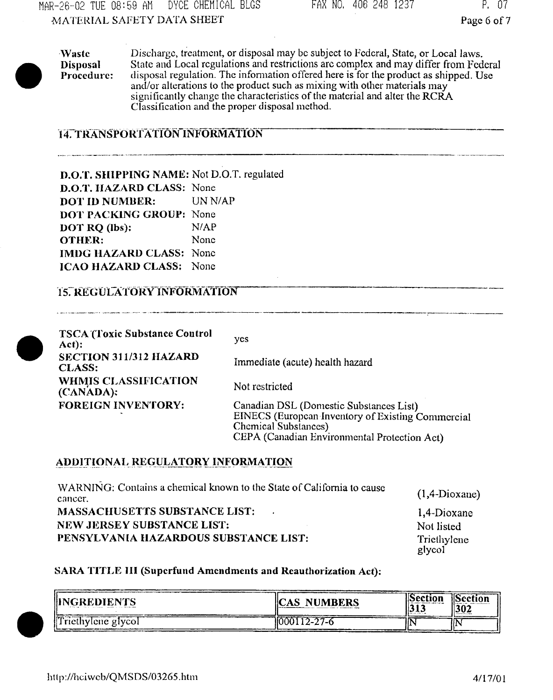MAR-26-02 TUE 08:59 AH DYCE CHEMICAL BLGS •MATERIAL SAFETY DATA SHEET

Page 6 of 7

**Waste** Discharge, treatment, or disposal may be subject to Federal, State, or Local laws. **Disposal** State and Local regulations and restrictions arc complex and may differ from Federal **Procedure:** disposal regulation. The information offered here is for the product as shipped. Use and/or alterations to the product such as mixing with other materials may significantly change the characteristics of the material and alter the RCRA Classification and the proper disposal method.

# **14. TRANSPORTATION INFORMATION**

**D.O.T. SHIPPING** NAME: Not D.O.T. regulated **D.O.T. HAZARD CLASS:** None **DOT ID NUMBER:** UN N/AP **DOT PACKING GROUP:** None **DOT RQ (Ibs): N/AP OTHER:** None **IMDG HAZARD CLASS:** None **ICAO HAZARD CLASS:** None

## 15. **REGULATORY iWORMATION**

.<br>Want the Albert P. Letter Administrative Concert Control Communication of the Communication of the Communicatio

**TSCA (Toxic Substance Control Act): SECTION 311/312 HAZARD CLASS: WHMIS CLASSIFICATION (CANADA); FOREIGN INVENTORY:** yes Immediate (acute) health hazard Not restricted Canadian DSL (Domestic Substances List) EINECS (European Inventory of Existing Commercial Chemical Substances) CEPA (Canadian Environmental Protection Act)

## **ADDITIONAL^REGULATORY INFORMATION**

| WARNING: Contains a chemical known to the State of California to cause<br>cancer. | $(1,4-Dioxane)$           |
|-----------------------------------------------------------------------------------|---------------------------|
| <b>MASSACHUSETTS SUBSTANCE LIST:</b><br><b>NEW JERSEY SUBSTANCE LIST:</b>         | 1.4-Dioxane<br>Not listed |
| PENSYLVANIA HAZARDOUS SUBSTANCE LIST:                                             | Triethylene<br>glycol     |

## **SARA TITLE III (Supcrfund Amendments and Reauthorization Act):**

| <b>IINGREDIENTS</b><br>The first stage of the contract of the process completely the contract declines assumed | <b>CAS NUMBERS</b><br>___ | <b>  Section</b><br>11 J J J | <b>ISection</b><br> 302<br><b>CONTRACTOR</b> |
|----------------------------------------------------------------------------------------------------------------|---------------------------|------------------------------|----------------------------------------------|
| $\int$ fricthylene giyeol                                                                                      | $1000112 - 27 - 6$        |                              |                                              |